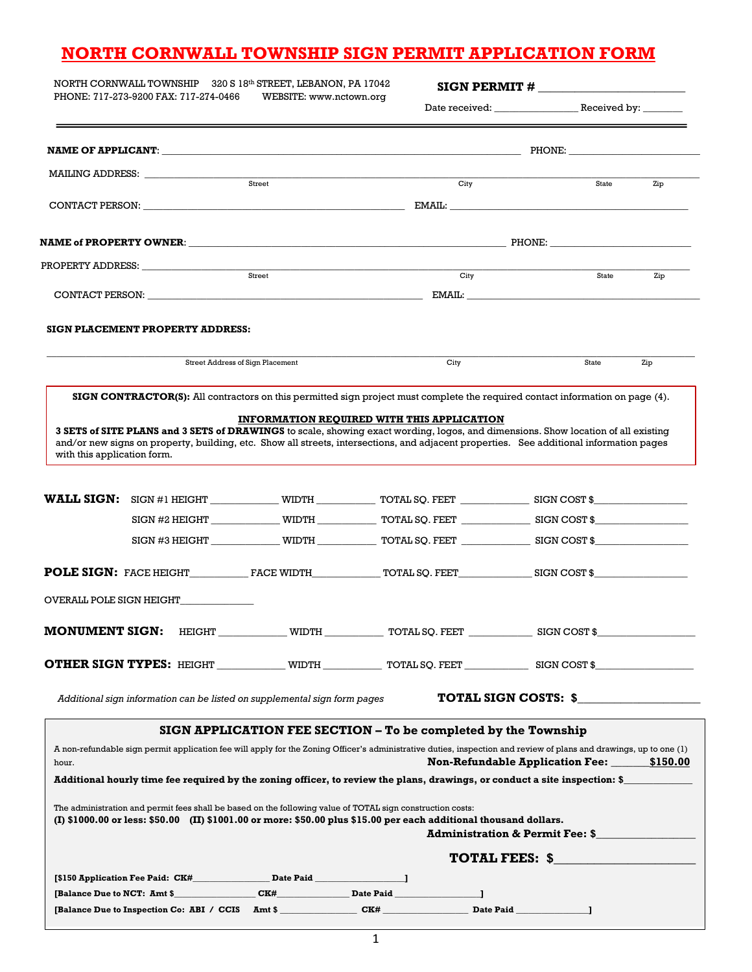# **NORTH CORNWALL TOWNSHIP SIGN PERMIT APPLICATION FORM**

| NORTH CORNWALL TOWNSHIP 320 S 18th STREET, LEBANON, PA 17042<br>PHONE: 717-273-9200 FAX: 717-274-0466<br>WEBSITE: www.nctown.org |                                                                           |                                  | SIGN PERMIT # $\_$                                                                                                                                                                                                                                                           |                                            |     |
|----------------------------------------------------------------------------------------------------------------------------------|---------------------------------------------------------------------------|----------------------------------|------------------------------------------------------------------------------------------------------------------------------------------------------------------------------------------------------------------------------------------------------------------------------|--------------------------------------------|-----|
|                                                                                                                                  |                                                                           |                                  |                                                                                                                                                                                                                                                                              |                                            |     |
|                                                                                                                                  |                                                                           |                                  |                                                                                                                                                                                                                                                                              |                                            |     |
|                                                                                                                                  |                                                                           |                                  |                                                                                                                                                                                                                                                                              |                                            |     |
|                                                                                                                                  |                                                                           | $\overline{\text{Street}}$       | City                                                                                                                                                                                                                                                                         | State                                      | Zip |
|                                                                                                                                  |                                                                           |                                  |                                                                                                                                                                                                                                                                              |                                            |     |
|                                                                                                                                  |                                                                           |                                  |                                                                                                                                                                                                                                                                              |                                            |     |
|                                                                                                                                  |                                                                           |                                  |                                                                                                                                                                                                                                                                              |                                            |     |
|                                                                                                                                  |                                                                           |                                  | City                                                                                                                                                                                                                                                                         | State                                      | Zip |
|                                                                                                                                  |                                                                           |                                  | CONTACT PERSON: EMAIL:                                                                                                                                                                                                                                                       |                                            |     |
|                                                                                                                                  | SIGN PLACEMENT PROPERTY ADDRESS:                                          |                                  |                                                                                                                                                                                                                                                                              |                                            |     |
|                                                                                                                                  |                                                                           | Street Address of Sign Placement | City                                                                                                                                                                                                                                                                         | State                                      | Zip |
|                                                                                                                                  |                                                                           |                                  | SIGN CONTRACTOR(S): All contractors on this permitted sign project must complete the required contact information on page (4).                                                                                                                                               |                                            |     |
|                                                                                                                                  |                                                                           |                                  |                                                                                                                                                                                                                                                                              |                                            |     |
| with this application form.                                                                                                      |                                                                           |                                  | 3 SETS of SITE PLANS and 3 SETS of DRAWINGS to scale, showing exact wording, logos, and dimensions. Show location of all existing<br>and/or new signs on property, building, etc. Show all streets, intersections, and adjacent properties. See additional information pages |                                            |     |
|                                                                                                                                  |                                                                           |                                  |                                                                                                                                                                                                                                                                              |                                            |     |
|                                                                                                                                  |                                                                           |                                  |                                                                                                                                                                                                                                                                              |                                            |     |
|                                                                                                                                  |                                                                           |                                  | SIGN #3 HEIGHT WIDTH WIDTH TOTAL SQ. FEET SIGN COST \$                                                                                                                                                                                                                       |                                            |     |
|                                                                                                                                  |                                                                           |                                  | <b>POLE SIGN:</b> FACE HEIGHT__________________FACE WIDTH______________TOTAL SQ. FEET_________________________________                                                                                                                                                       |                                            |     |
|                                                                                                                                  | OVERALL POLE SIGN HEIGHT                                                  |                                  |                                                                                                                                                                                                                                                                              |                                            |     |
| <b>MONUMENT SIGN:</b>                                                                                                            |                                                                           |                                  | HEIGHT WIDTH VIDTH TOTAL SQ. FEET SIGN COST \$                                                                                                                                                                                                                               |                                            |     |
|                                                                                                                                  |                                                                           |                                  |                                                                                                                                                                                                                                                                              |                                            |     |
|                                                                                                                                  | Additional sign information can be listed on supplemental sign form pages |                                  |                                                                                                                                                                                                                                                                              | TOTAL SIGN COSTS: \$                       |     |
|                                                                                                                                  |                                                                           |                                  | SIGN APPLICATION FEE SECTION – To be completed by the Township                                                                                                                                                                                                               |                                            |     |
|                                                                                                                                  |                                                                           |                                  | A non-refundable sign permit application fee will apply for the Zoning Officer's administrative duties, inspection and review of plans and drawings, up to one (1)                                                                                                           |                                            |     |
| hour.                                                                                                                            |                                                                           |                                  |                                                                                                                                                                                                                                                                              | Non-Refundable Application Fee: 5150.00    |     |
|                                                                                                                                  |                                                                           |                                  | Additional hourly time fee required by the zoning officer, to review the plans, drawings, or conduct a site inspection: \$                                                                                                                                                   |                                            |     |
|                                                                                                                                  |                                                                           |                                  | The administration and permit fees shall be based on the following value of TOTAL sign construction costs:                                                                                                                                                                   |                                            |     |
|                                                                                                                                  |                                                                           |                                  | (I) \$1000.00 or less: \$50.00 (II) \$1001.00 or more: \$50.00 plus \$15.00 per each additional thousand dollars.                                                                                                                                                            | <b>Administration &amp; Permit Fee: \$</b> |     |
|                                                                                                                                  |                                                                           |                                  |                                                                                                                                                                                                                                                                              | <b>TOTAL FEES: \$</b>                      |     |
|                                                                                                                                  |                                                                           |                                  |                                                                                                                                                                                                                                                                              |                                            |     |
|                                                                                                                                  |                                                                           |                                  | [Balance Due to NCT: Amt \$_____________________CK#______________Date Paid___________________________                                                                                                                                                                        |                                            |     |
|                                                                                                                                  |                                                                           |                                  | [Balance Due to Inspection Co: ABI / CCIS Amt \$                                                                                                                                                                                                                             | Date Paid                                  |     |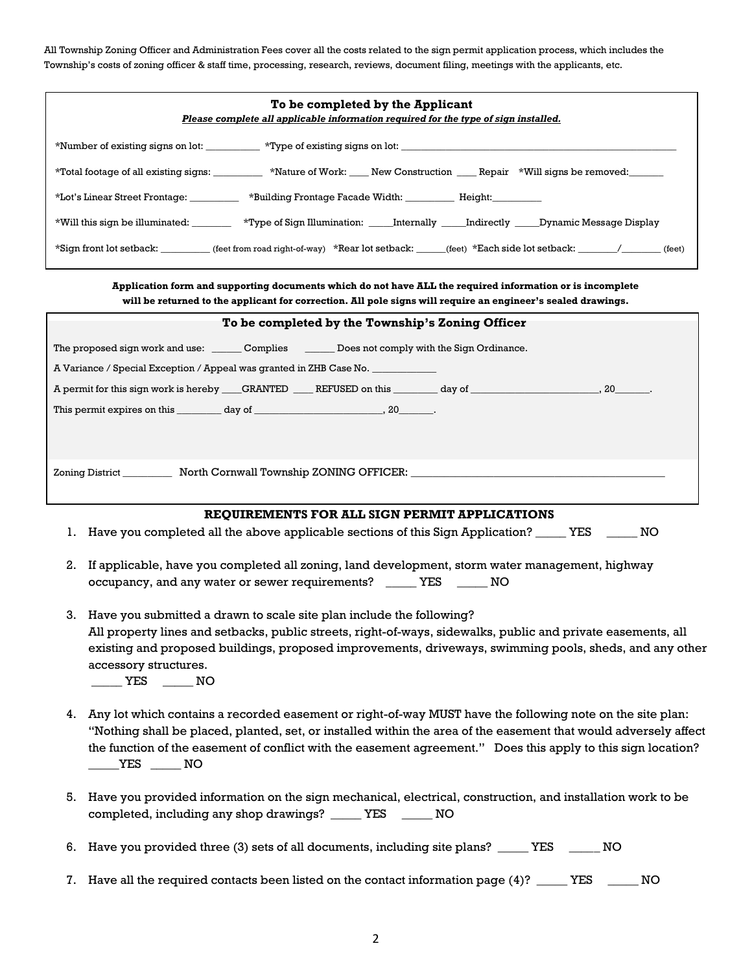All Township Zoning Officer and Administration Fees cover all the costs related to the sign permit application process, which includes the Township's costs of zoning officer & staff time, processing, research, reviews, document filing, meetings with the applicants, etc.

| To be completed by the Applicant<br>Please complete all applicable information required for the type of sign installed.                                                                                                                                                                                                                                            |
|--------------------------------------------------------------------------------------------------------------------------------------------------------------------------------------------------------------------------------------------------------------------------------------------------------------------------------------------------------------------|
|                                                                                                                                                                                                                                                                                                                                                                    |
| *Total footage of all existing signs: ________ *Nature of Work: ___ New Construction ___ Repair *Will signs be removed: _____                                                                                                                                                                                                                                      |
| *Lot's Linear Street Frontage: __________ *Building Frontage Facade Width: _________ Height: _______                                                                                                                                                                                                                                                               |
| *Will this sign be illuminated: _________ *Type of Sign Illumination: _____Internally _____Indirectly _____Dynamic Message Display                                                                                                                                                                                                                                 |
| *Sign front lot setback: _________(feet from road right-of-way) *Rear lot setback: _____(feet) *Each side lot setback: ______/ ______(feet)                                                                                                                                                                                                                        |
| Application form and supporting documents which do not have ALL the required information or is incomplete<br>will be returned to the applicant for correction. All pole signs will require an engineer's sealed drawings.                                                                                                                                          |
| To be completed by the Township's Zoning Officer                                                                                                                                                                                                                                                                                                                   |
| The proposed sign work and use: _______ Complies ________ Does not comply with the Sign Ordinance.                                                                                                                                                                                                                                                                 |
| A Variance / Special Exception / Appeal was granted in ZHB Case No. ____________                                                                                                                                                                                                                                                                                   |
|                                                                                                                                                                                                                                                                                                                                                                    |
|                                                                                                                                                                                                                                                                                                                                                                    |
|                                                                                                                                                                                                                                                                                                                                                                    |
| Zoning District ____________ North Cornwall Township ZONING OFFICER: _______________________________                                                                                                                                                                                                                                                               |
|                                                                                                                                                                                                                                                                                                                                                                    |
| REQUIREMENTS FOR ALL SIGN PERMIT APPLICATIONS                                                                                                                                                                                                                                                                                                                      |
| 1. Have you completed all the above applicable sections of this Sign Application? _____ YES _____<br>NO                                                                                                                                                                                                                                                            |
| 2.<br>If applicable, have you completed all zoning, land development, storm water management, highway<br>occupancy, and any water or sewer requirements? _____ YES _____ NO                                                                                                                                                                                        |
| 3.<br>Have you submitted a drawn to scale site plan include the following?                                                                                                                                                                                                                                                                                         |
| All property lines and setbacks, public streets, right-of-ways, sidewalks, public and private easements, all<br>existing and proposed buildings, proposed improvements, driveways, swimming pools, sheds, and any other<br>accessory structures.<br>$\rule{1em}{0.15mm}$ YES $\rule{1em}{0.15mm}$ NO                                                               |
| Any lot which contains a recorded easement or right-of-way MUST have the following note on the site plan:<br>4.<br>"Nothing shall be placed, planted, set, or installed within the area of the easement that would adversely affect<br>the function of the easement of conflict with the easement agreement." Does this apply to this sign location?<br>$YES$ $MO$ |
| 5. Have you provided information on the sign mechanical, electrical, construction, and installation work to be<br>completed, including any shop drawings? _____ YES _____ NO                                                                                                                                                                                       |
| Have you provided three (3) sets of all documents, including site plans? _____ YES _____<br>NO<br>6.                                                                                                                                                                                                                                                               |
| Have all the required contacts been listed on the contact information page (4)? _____ YES<br>NO<br>7.                                                                                                                                                                                                                                                              |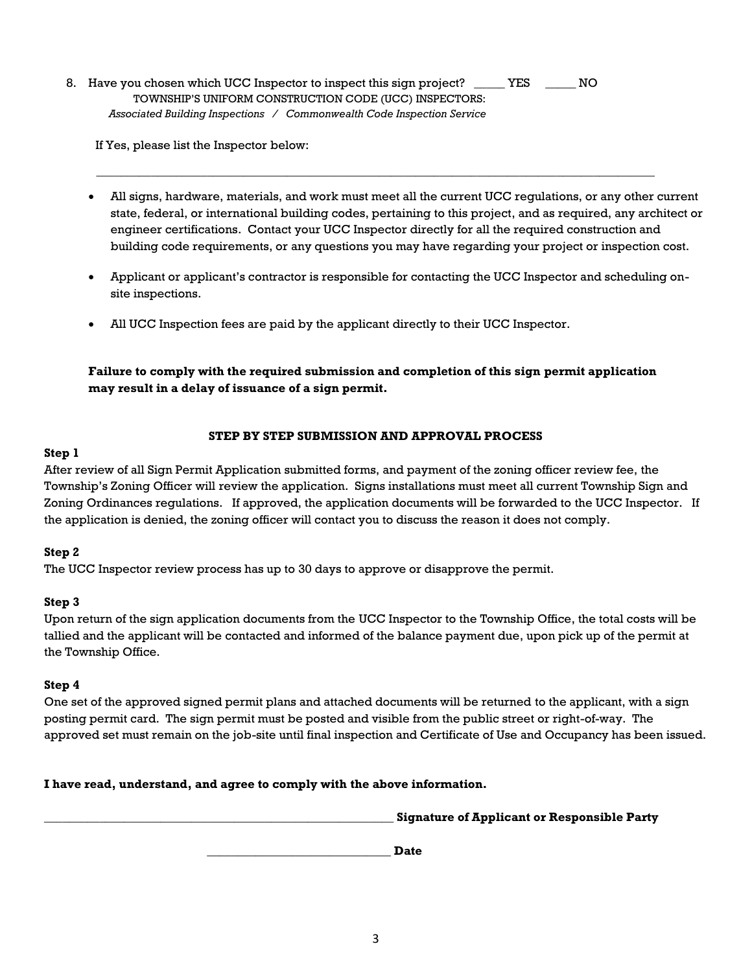8. Have you chosen which UCC Inspector to inspect this sign project? \_\_\_\_\_\_ YES \_\_\_\_\_\_ NO TOWNSHIP'S UNIFORM CONSTRUCTION CODE (UCC) INSPECTORS: *Associated Building Inspections / Commonwealth Code Inspection Service* 

If Yes, please list the Inspector below:

• All signs, hardware, materials, and work must meet all the current UCC regulations, or any other current state, federal, or international building codes, pertaining to this project, and as required, any architect or engineer certifications. Contact your UCC Inspector directly for all the required construction and building code requirements, or any questions you may have regarding your project or inspection cost.

**\_\_\_\_\_\_\_\_\_\_\_\_\_\_\_\_\_\_\_\_\_\_\_\_\_\_\_\_\_\_\_\_\_\_\_\_\_\_\_\_\_\_\_\_\_\_\_\_\_\_\_\_\_\_\_\_\_\_\_\_\_\_\_\_\_\_\_\_\_\_\_\_\_\_\_\_\_\_\_\_\_\_\_\_\_\_\_\_\_\_\_** 

- Applicant or applicant's contractor is responsible for contacting the UCC Inspector and scheduling onsite inspections.
- All UCC Inspection fees are paid by the applicant directly to their UCC Inspector.

**Failure to comply with the required submission and completion of this sign permit application may result in a delay of issuance of a sign permit.**

### **STEP BY STEP SUBMISSION AND APPROVAL PROCESS**

### **Step 1**

After review of all Sign Permit Application submitted forms, and payment of the zoning officer review fee, the Township's Zoning Officer will review the application. Signs installations must meet all current Township Sign and Zoning Ordinances regulations. If approved, the application documents will be forwarded to the UCC Inspector. If the application is denied, the zoning officer will contact you to discuss the reason it does not comply.

### **Step 2**

The UCC Inspector review process has up to 30 days to approve or disapprove the permit.

### **Step 3**

Upon return of the sign application documents from the UCC Inspector to the Township Office, the total costs will be tallied and the applicant will be contacted and informed of the balance payment due, upon pick up of the permit at the Township Office.

### **Step 4**

One set of the approved signed permit plans and attached documents will be returned to the applicant, with a sign posting permit card. The sign permit must be posted and visible from the public street or right-of-way. The approved set must remain on the job-site until final inspection and Certificate of Use and Occupancy has been issued.

**I have read, understand, and agree to comply with the above information.**

**\_\_\_\_\_\_\_\_\_\_\_\_\_\_\_\_\_\_\_\_\_\_\_\_\_\_\_\_\_\_\_\_\_\_\_\_\_\_\_\_\_\_\_\_\_\_\_\_\_\_\_\_\_\_\_\_\_ Signature of Applicant or Responsible Party**

 **\_\_\_\_\_\_\_\_\_\_\_\_\_\_\_\_\_\_\_\_\_\_\_\_\_\_\_\_\_\_ Date**